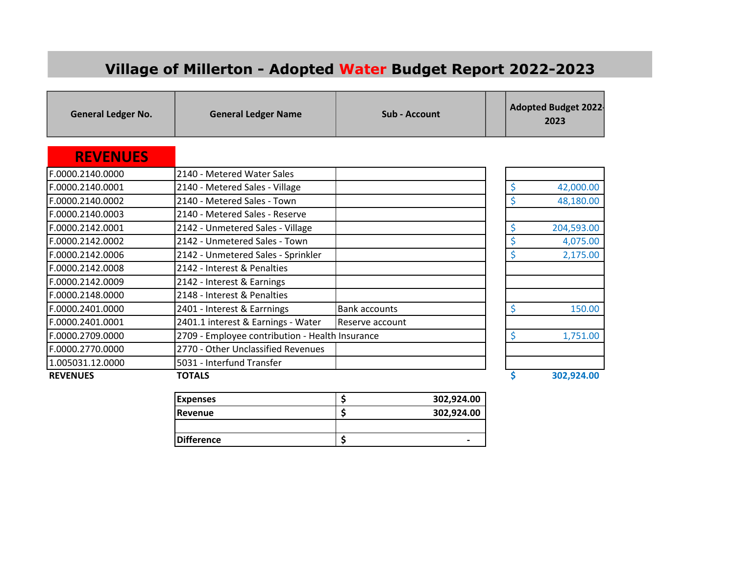## **Village of Millerton - Adopted Water Budget Report 2022-2023**

**General Ledger No. General Ledger Name Sub - Account** Adopted Budget 2022-<br> **General Letter Adopted Budget 2022-2023** 

## **REVENUES**

| 2140 - Metered Water Sales<br>2140 - Metered Sales - Village<br>2140 - Metered Sales - Town<br>F.0000.2140.0002<br>2140 - Metered Sales - Reserve<br>F.0000.2140.0003<br>2142 - Unmetered Sales - Village<br>2142 - Unmetered Sales - Town<br>2142 - Unmetered Sales - Sprinkler<br>F.0000.2142.0006<br>2142 - Interest & Penalties<br>2142 - Interest & Earnings<br>2148 - Interest & Penalties<br>2401 - Interest & Earrnings<br>F.0000.2401.0000<br><b>Bank accounts</b><br>2401.1 interest & Earnings - Water<br>IReserve account<br>2709 - Employee contribution - Health Insurance<br>2770 - Other Unclassified Revenues<br>F.0000.2770.0000<br>1.005031.12.0000<br>5031 - Interfund Transfer<br><b>REVENUES</b><br>TOTALS |                  |  |            |
|----------------------------------------------------------------------------------------------------------------------------------------------------------------------------------------------------------------------------------------------------------------------------------------------------------------------------------------------------------------------------------------------------------------------------------------------------------------------------------------------------------------------------------------------------------------------------------------------------------------------------------------------------------------------------------------------------------------------------------|------------------|--|------------|
|                                                                                                                                                                                                                                                                                                                                                                                                                                                                                                                                                                                                                                                                                                                                  | F.0000.2140.0000 |  |            |
|                                                                                                                                                                                                                                                                                                                                                                                                                                                                                                                                                                                                                                                                                                                                  | F.0000.2140.0001 |  | 42,000.00  |
|                                                                                                                                                                                                                                                                                                                                                                                                                                                                                                                                                                                                                                                                                                                                  |                  |  | 48,180.00  |
|                                                                                                                                                                                                                                                                                                                                                                                                                                                                                                                                                                                                                                                                                                                                  |                  |  |            |
|                                                                                                                                                                                                                                                                                                                                                                                                                                                                                                                                                                                                                                                                                                                                  | F.0000.2142.0001 |  | 204,593.00 |
|                                                                                                                                                                                                                                                                                                                                                                                                                                                                                                                                                                                                                                                                                                                                  | F.0000.2142.0002 |  | 4,075.00   |
|                                                                                                                                                                                                                                                                                                                                                                                                                                                                                                                                                                                                                                                                                                                                  |                  |  | 2,175.00   |
|                                                                                                                                                                                                                                                                                                                                                                                                                                                                                                                                                                                                                                                                                                                                  | F.0000.2142.0008 |  |            |
|                                                                                                                                                                                                                                                                                                                                                                                                                                                                                                                                                                                                                                                                                                                                  | F.0000.2142.0009 |  |            |
|                                                                                                                                                                                                                                                                                                                                                                                                                                                                                                                                                                                                                                                                                                                                  | F.0000.2148.0000 |  |            |
|                                                                                                                                                                                                                                                                                                                                                                                                                                                                                                                                                                                                                                                                                                                                  |                  |  | 150.00     |
|                                                                                                                                                                                                                                                                                                                                                                                                                                                                                                                                                                                                                                                                                                                                  | F.0000.2401.0001 |  |            |
|                                                                                                                                                                                                                                                                                                                                                                                                                                                                                                                                                                                                                                                                                                                                  | F.0000.2709.0000 |  | 1,751.00   |
|                                                                                                                                                                                                                                                                                                                                                                                                                                                                                                                                                                                                                                                                                                                                  |                  |  |            |
|                                                                                                                                                                                                                                                                                                                                                                                                                                                                                                                                                                                                                                                                                                                                  |                  |  |            |
|                                                                                                                                                                                                                                                                                                                                                                                                                                                                                                                                                                                                                                                                                                                                  |                  |  | 302,924.00 |

| <b>Expenses</b>   | 302,924.00     |
|-------------------|----------------|
| <b>Revenue</b>    | 302,924.00     |
|                   |                |
| <b>Difference</b> | $\blacksquare$ |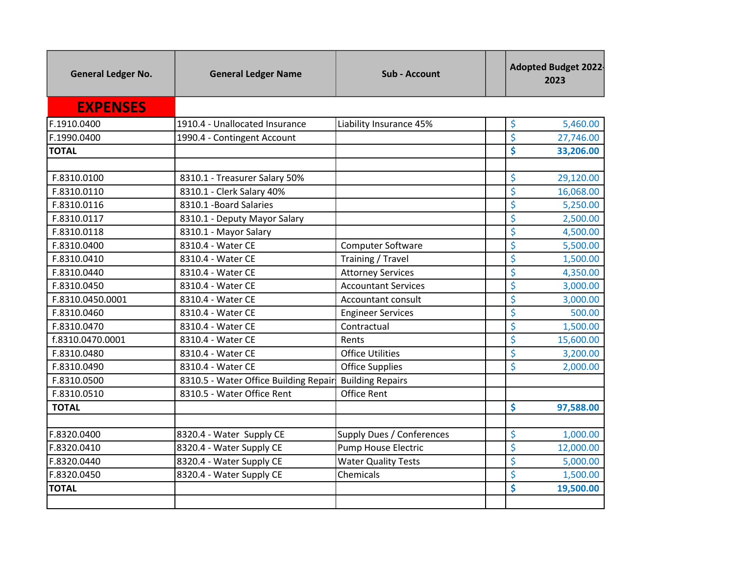| <b>General Ledger No.</b> | <b>General Ledger Name</b>            | <b>Sub - Account</b>       | <b>Adopted Budget 2022-</b><br>2023 |  |
|---------------------------|---------------------------------------|----------------------------|-------------------------------------|--|
| <b>EXPENSES</b>           |                                       |                            |                                     |  |
| F.1910.0400               | 1910.4 - Unallocated Insurance        | Liability Insurance 45%    | \$<br>5,460.00                      |  |
| F.1990.0400               | 1990.4 - Contingent Account           |                            | \$<br>27,746.00                     |  |
| <b>TOTAL</b>              |                                       |                            | \$<br>33,206.00                     |  |
|                           |                                       |                            |                                     |  |
| F.8310.0100               | 8310.1 - Treasurer Salary 50%         |                            | \$<br>29,120.00                     |  |
| F.8310.0110               | 8310.1 - Clerk Salary 40%             |                            | \$<br>16,068.00                     |  |
| F.8310.0116               | 8310.1 - Board Salaries               |                            | \$<br>5,250.00                      |  |
| F.8310.0117               | 8310.1 - Deputy Mayor Salary          |                            | \$<br>2,500.00                      |  |
| F.8310.0118               | 8310.1 - Mayor Salary                 |                            | \$<br>4,500.00                      |  |
| F.8310.0400               | 8310.4 - Water CE                     | <b>Computer Software</b>   | \$<br>5,500.00                      |  |
| F.8310.0410               | 8310.4 - Water CE                     | Training / Travel          | \$<br>1,500.00                      |  |
| F.8310.0440               | 8310.4 - Water CE                     | <b>Attorney Services</b>   | \$<br>4,350.00                      |  |
| F.8310.0450               | 8310.4 - Water CE                     | <b>Accountant Services</b> | \$<br>3,000.00                      |  |
| F.8310.0450.0001          | 8310.4 - Water CE                     | Accountant consult         | \$<br>3,000.00                      |  |
| F.8310.0460               | 8310.4 - Water CE                     | <b>Engineer Services</b>   | \$<br>500.00                        |  |
| F.8310.0470               | 8310.4 - Water CE                     | Contractual                | $\overline{\xi}$<br>1,500.00        |  |
| f.8310.0470.0001          | 8310.4 - Water CE                     | Rents                      | $\overline{\xi}$<br>15,600.00       |  |
| F.8310.0480               | 8310.4 - Water CE                     | <b>Office Utilities</b>    | \$<br>3,200.00                      |  |
| F.8310.0490               | 8310.4 - Water CE                     | <b>Office Supplies</b>     | \$<br>2,000.00                      |  |
| F.8310.0500               | 8310.5 - Water Office Building Repair | <b>Building Repairs</b>    |                                     |  |
| F.8310.0510               | 8310.5 - Water Office Rent            | <b>Office Rent</b>         |                                     |  |
| <b>TOTAL</b>              |                                       |                            | \$<br>97,588.00                     |  |
|                           |                                       |                            |                                     |  |
| F.8320.0400               | 8320.4 - Water Supply CE              | Supply Dues / Conferences  | \$<br>1,000.00                      |  |
| F.8320.0410               | 8320.4 - Water Supply CE              | <b>Pump House Electric</b> | \$<br>12,000.00                     |  |
| F.8320.0440               | 8320.4 - Water Supply CE              | <b>Water Quality Tests</b> | \$<br>5,000.00                      |  |
| F.8320.0450               | 8320.4 - Water Supply CE              | Chemicals                  | \$<br>1,500.00                      |  |
| <b>TOTAL</b>              |                                       |                            | \$<br>19,500.00                     |  |